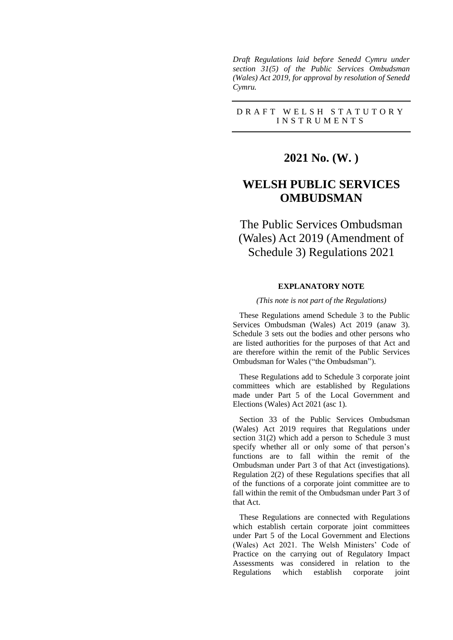*Draft Regulations laid before Senedd Cymru under section 31(5) of the Public Services Ombudsman (Wales) Act 2019, for approval by resolution of Senedd Cymru.*

### D R A F T W E L S H S T A T U T O R Y I N S T R U M E N T S

## **2021 No. (W. )**

# **WELSH PUBLIC SERVICES OMBUDSMAN**

# The Public Services Ombudsman (Wales) Act 2019 (Amendment of Schedule 3) Regulations 2021

## **EXPLANATORY NOTE**

#### *(This note is not part of the Regulations)*

These Regulations amend Schedule 3 to the Public Services Ombudsman (Wales) Act 2019 (anaw 3). Schedule 3 sets out the bodies and other persons who are listed authorities for the purposes of that Act and are therefore within the remit of the Public Services Ombudsman for Wales ("the Ombudsman").

These Regulations add to Schedule 3 corporate joint committees which are established by Regulations made under Part 5 of the Local Government and Elections (Wales) Act 2021 (asc 1).

Section 33 of the Public Services Ombudsman (Wales) Act 2019 requires that Regulations under section 31(2) which add a person to Schedule 3 must specify whether all or only some of that person's functions are to fall within the remit of the Ombudsman under Part 3 of that Act (investigations). Regulation 2(2) of these Regulations specifies that all of the functions of a corporate joint committee are to fall within the remit of the Ombudsman under Part 3 of that Act.

These Regulations are connected with Regulations which establish certain corporate joint committees under Part 5 of the Local Government and Elections (Wales) Act 2021. The Welsh Ministers' Code of Practice on the carrying out of Regulatory Impact Assessments was considered in relation to the Regulations which establish corporate joint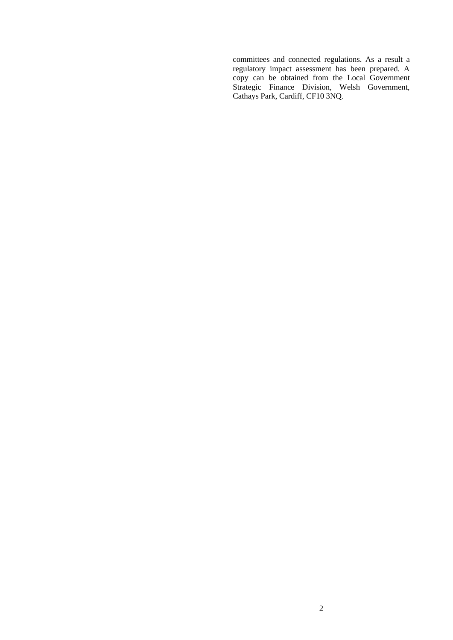committees and connected regulations. As a result a regulatory impact assessment has been prepared. A copy can be obtained from the Local Government Strategic Finance Division, Welsh Government, Cathays Park, Cardiff, CF10 3NQ.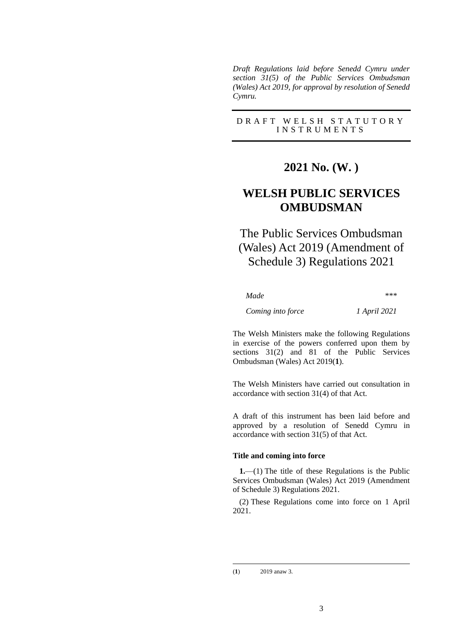*Draft Regulations laid before Senedd Cymru under section 31(5) of the Public Services Ombudsman (Wales) Act 2019, for approval by resolution of Senedd Cymru.*

## D R A F T W E L S H S T A T U T O R Y I N S T R U M E N T S

# **2021 No. (W. )**

# **WELSH PUBLIC SERVICES OMBUDSMAN**

# The Public Services Ombudsman (Wales) Act 2019 (Amendment of Schedule 3) Regulations 2021

*Made \*\*\**

#### *Coming into force 1 April 2021*

The Welsh Ministers make the following Regulations in exercise of the powers conferred upon them by sections 31(2) and 81 of the Public Services Ombudsman (Wales) Act 2019(**1**).

The Welsh Ministers have carried out consultation in accordance with section 31(4) of that Act.

A draft of this instrument has been laid before and approved by a resolution of Senedd Cymru in accordance with section 31(5) of that Act.

#### **Title and coming into force**

**1.**—(1) The title of these Regulations is the Public Services Ombudsman (Wales) Act 2019 (Amendment of Schedule 3) Regulations 2021.

(2) These Regulations come into force on 1 April 2021.

<sup>(</sup>**1**) 2019 anaw 3.